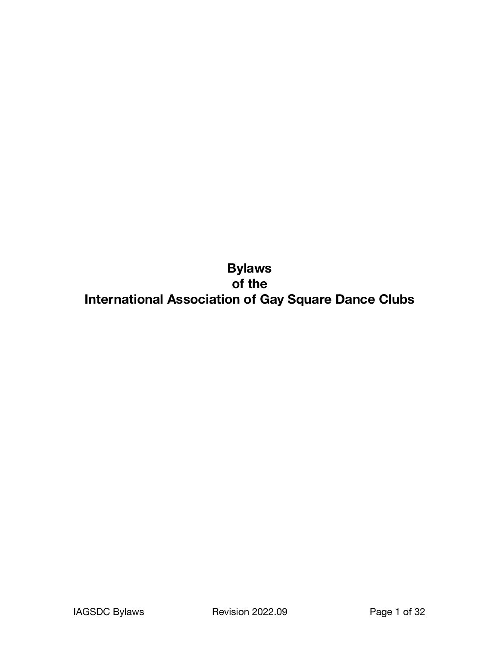**Bylaws of the International Association of Gay Square Dance Clubs**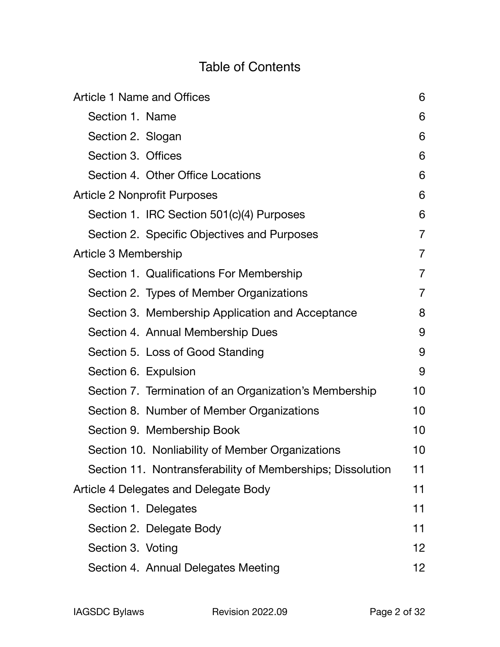# Table of Contents

| <b>Article 1 Name and Offices</b>                          | 6               |  |
|------------------------------------------------------------|-----------------|--|
| Section 1. Name                                            | 6               |  |
| Section 2. Slogan                                          | 6               |  |
| Section 3. Offices                                         | 6               |  |
| Section 4. Other Office Locations                          | 6               |  |
| <b>Article 2 Nonprofit Purposes</b>                        | 6               |  |
| Section 1. IRC Section 501(c)(4) Purposes                  | 6               |  |
| Section 2. Specific Objectives and Purposes                | $\overline{7}$  |  |
| Article 3 Membership                                       |                 |  |
| Section 1. Qualifications For Membership                   | $\overline{7}$  |  |
| Section 2. Types of Member Organizations                   | $\overline{7}$  |  |
| Section 3. Membership Application and Acceptance           | 8               |  |
| Section 4. Annual Membership Dues                          | 9               |  |
| Section 5. Loss of Good Standing                           | 9               |  |
| Section 6. Expulsion                                       | 9               |  |
| Section 7. Termination of an Organization's Membership     | 10              |  |
| Section 8. Number of Member Organizations                  | 10              |  |
| Section 9. Membership Book                                 | 10              |  |
| Section 10. Nonliability of Member Organizations           | 10              |  |
| Section 11. Nontransferability of Memberships; Dissolution | 11              |  |
| Article 4 Delegates and Delegate Body                      | 11              |  |
| Section 1. Delegates                                       | 11              |  |
| Section 2. Delegate Body                                   | 11              |  |
| Section 3. Voting                                          | 12 <sub>2</sub> |  |
| Section 4. Annual Delegates Meeting                        | 12 <sub>2</sub> |  |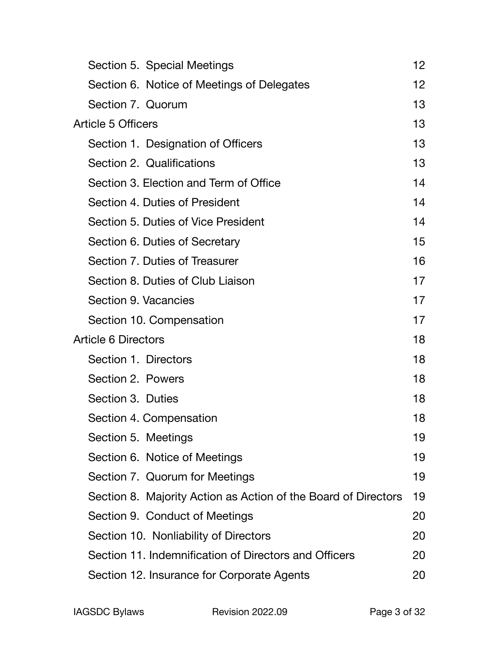|                           | Section 5. Special Meetings                                    | 12 <sub>2</sub> |
|---------------------------|----------------------------------------------------------------|-----------------|
|                           | Section 6. Notice of Meetings of Delegates                     | 12 <sub>2</sub> |
|                           | Section 7. Quorum                                              | 13              |
| <b>Article 5 Officers</b> |                                                                | 13              |
|                           | Section 1. Designation of Officers                             | 13              |
|                           | Section 2. Qualifications                                      | 13              |
|                           | Section 3. Election and Term of Office                         | 14              |
|                           | Section 4. Duties of President                                 | 14              |
|                           | Section 5. Duties of Vice President                            | 14              |
|                           | Section 6. Duties of Secretary                                 | 15              |
|                           | Section 7. Duties of Treasurer                                 | 16              |
|                           | Section 8. Duties of Club Liaison                              | 17              |
|                           | Section 9. Vacancies                                           | 17              |
|                           | Section 10. Compensation                                       | 17              |
|                           | <b>Article 6 Directors</b>                                     | 18              |
|                           | Section 1. Directors                                           | 18              |
|                           | Section 2. Powers                                              | 18              |
|                           | Section 3. Duties                                              | 18              |
|                           | Section 4. Compensation                                        | 18              |
|                           | Section 5. Meetings                                            | 19              |
|                           | Section 6. Notice of Meetings                                  | 19              |
|                           | Section 7. Quorum for Meetings                                 | 19              |
|                           | Section 8. Majority Action as Action of the Board of Directors | 19              |
|                           | Section 9. Conduct of Meetings                                 | 20              |
|                           | Section 10. Nonliability of Directors                          | 20              |
|                           | Section 11. Indemnification of Directors and Officers          | 20              |
|                           | Section 12. Insurance for Corporate Agents                     | 20              |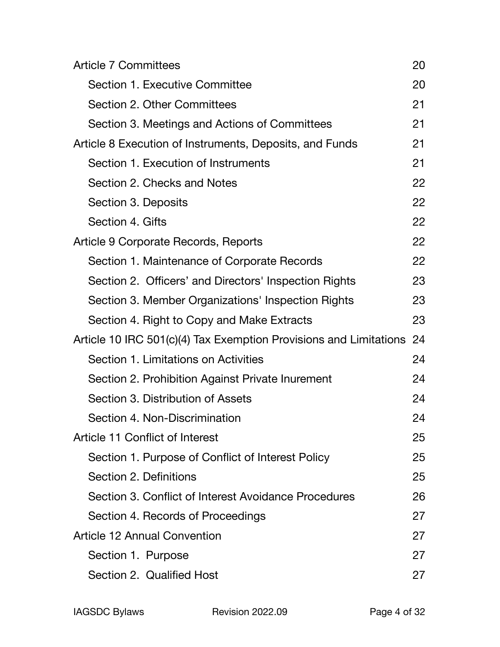| <b>Article 7 Committees</b>                                       | 20 |
|-------------------------------------------------------------------|----|
| <b>Section 1. Executive Committee</b>                             | 20 |
| Section 2. Other Committees                                       | 21 |
| Section 3. Meetings and Actions of Committees                     | 21 |
| Article 8 Execution of Instruments, Deposits, and Funds           | 21 |
| Section 1. Execution of Instruments                               | 21 |
| Section 2. Checks and Notes                                       | 22 |
| Section 3. Deposits                                               | 22 |
| Section 4. Gifts                                                  | 22 |
| Article 9 Corporate Records, Reports                              | 22 |
| Section 1. Maintenance of Corporate Records                       | 22 |
| Section 2. Officers' and Directors' Inspection Rights             | 23 |
| Section 3. Member Organizations' Inspection Rights                | 23 |
| Section 4. Right to Copy and Make Extracts                        | 23 |
| Article 10 IRC 501(c)(4) Tax Exemption Provisions and Limitations | 24 |
| Section 1. Limitations on Activities                              | 24 |
| Section 2. Prohibition Against Private Inurement                  | 24 |
| Section 3. Distribution of Assets                                 | 24 |
| Section 4. Non-Discrimination                                     | 24 |
| Article 11 Conflict of Interest                                   | 25 |
| Section 1. Purpose of Conflict of Interest Policy                 | 25 |
| Section 2. Definitions                                            | 25 |
| Section 3. Conflict of Interest Avoidance Procedures              | 26 |
| Section 4. Records of Proceedings                                 | 27 |
| <b>Article 12 Annual Convention</b>                               | 27 |
| Section 1. Purpose                                                | 27 |
| Section 2. Qualified Host                                         | 27 |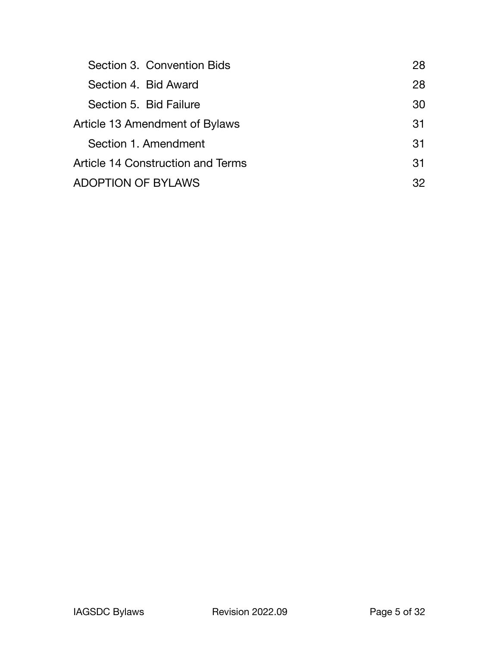| Section 3. Convention Bids        | 28 |
|-----------------------------------|----|
| Section 4. Bid Award              | 28 |
| Section 5. Bid Failure            | 30 |
| Article 13 Amendment of Bylaws    | 31 |
| Section 1. Amendment              | 31 |
| Article 14 Construction and Terms | 31 |
| ADOPTION OF BYLAWS                | 32 |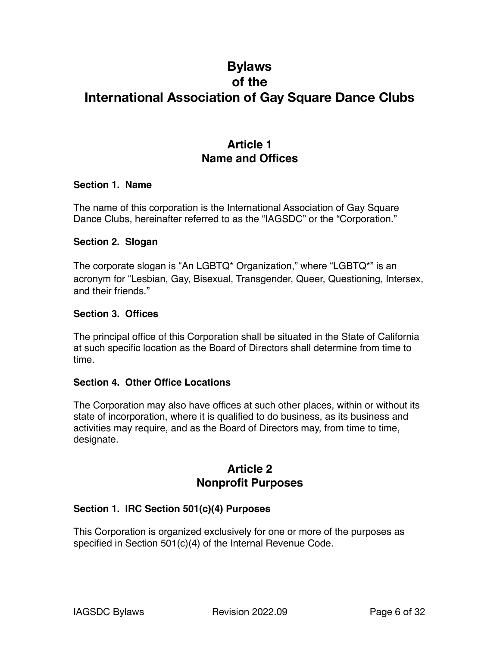# **Bylaws of the International Association of Gay Square Dance Clubs**

## <span id="page-5-0"></span>**Article 1 Name and Offices**

#### <span id="page-5-1"></span>**Section 1. Name**

The name of this corporation is the International Association of Gay Square Dance Clubs, hereinafter referred to as the "IAGSDC" or the "Corporation."

#### <span id="page-5-2"></span>**Section 2. Slogan**

The corporate slogan is "An LGBTQ\* Organization," where "LGBTQ\*" is an acronym for "Lesbian, Gay, Bisexual, Transgender, Queer, Questioning, Intersex, and their friends."

#### <span id="page-5-3"></span>**Section 3. Offices**

The principal office of this Corporation shall be situated in the State of California at such specific location as the Board of Directors shall determine from time to time.

#### <span id="page-5-4"></span>**Section 4. Other Office Locations**

The Corporation may also have offices at such other places, within or without its state of incorporation, where it is qualified to do business, as its business and activities may require, and as the Board of Directors may, from time to time, designate.

### <span id="page-5-5"></span>**Article 2 Nonprofit Purposes**

#### <span id="page-5-6"></span>**Section 1. IRC Section 501(c)(4) Purposes**

This Corporation is organized exclusively for one or more of the purposes as specified in Section 501(c)(4) of the Internal Revenue Code.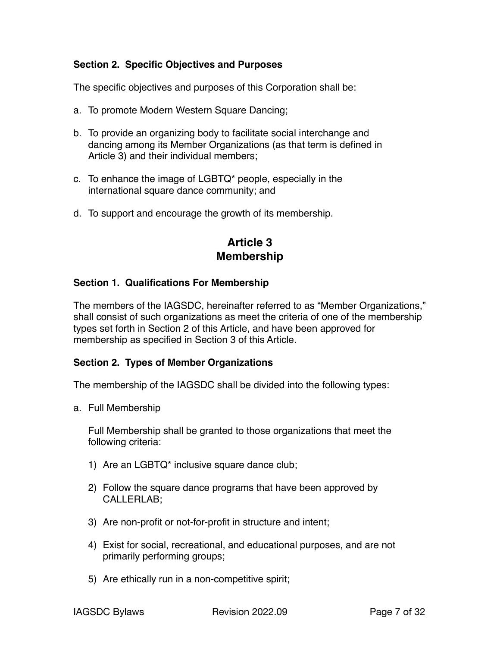#### <span id="page-6-0"></span>**Section 2. Specific Objectives and Purposes**

The specific objectives and purposes of this Corporation shall be:

- a. To promote Modern Western Square Dancing;
- b. To provide an organizing body to facilitate social interchange and dancing among its Member Organizations (as that term is defined in Article 3) and their individual members;
- c. To enhance the image of LGBTQ\* people, especially in the international square dance community; and
- d. To support and encourage the growth of its membership.

### <span id="page-6-1"></span>**Article 3 Membership**

#### <span id="page-6-2"></span>**Section 1. Qualifications For Membership**

The members of the IAGSDC, hereinafter referred to as "Member Organizations," shall consist of such organizations as meet the criteria of one of the membership types set forth in Section 2 of this Article, and have been approved for membership as specified in Section 3 of this Article.

#### <span id="page-6-3"></span>**Section 2. Types of Member Organizations**

The membership of the IAGSDC shall be divided into the following types:

a. Full Membership

Full Membership shall be granted to those organizations that meet the following criteria:

- 1) Are an LGBTQ\* inclusive square dance club;
- 2) Follow the square dance programs that have been approved by CALLERLAB;
- 3) Are non-profit or not-for-profit in structure and intent;
- 4) Exist for social, recreational, and educational purposes, and are not primarily performing groups;
- 5) Are ethically run in a non-competitive spirit;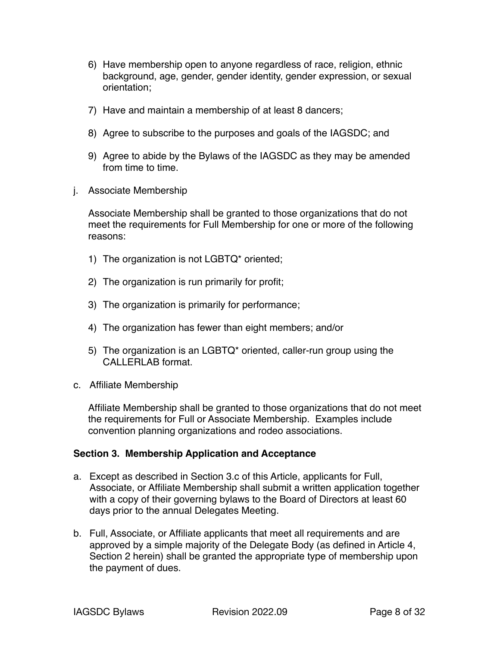- 6) Have membership open to anyone regardless of race, religion, ethnic background, age, gender, gender identity, gender expression, or sexual orientation;
- 7) Have and maintain a membership of at least 8 dancers;
- 8) Agree to subscribe to the purposes and goals of the IAGSDC; and
- 9) Agree to abide by the Bylaws of the IAGSDC as they may be amended from time to time.
- j. Associate Membership

Associate Membership shall be granted to those organizations that do not meet the requirements for Full Membership for one or more of the following reasons:

- 1) The organization is not LGBTQ\* oriented;
- 2) The organization is run primarily for profit;
- 3) The organization is primarily for performance;
- 4) The organization has fewer than eight members; and/or
- 5) The organization is an LGBTQ\* oriented, caller-run group using the CALLERLAB format.
- c. Affiliate Membership

Affiliate Membership shall be granted to those organizations that do not meet the requirements for Full or Associate Membership. Examples include convention planning organizations and rodeo associations.

#### <span id="page-7-0"></span>**Section 3. Membership Application and Acceptance**

- a. Except as described in Section 3.c of this Article, applicants for Full, Associate, or Affiliate Membership shall submit a written application together with a copy of their governing bylaws to the Board of Directors at least 60 days prior to the annual Delegates Meeting.
- b. Full, Associate, or Affiliate applicants that meet all requirements and are approved by a simple majority of the Delegate Body (as defined in Article 4, Section 2 herein) shall be granted the appropriate type of membership upon the payment of dues.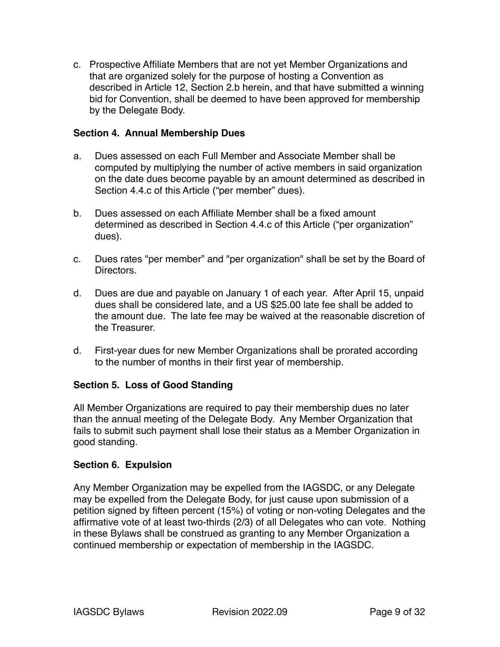c. Prospective Affiliate Members that are not yet Member Organizations and that are organized solely for the purpose of hosting a Convention as described in Article 12, Section 2.b herein, and that have submitted a winning bid for Convention, shall be deemed to have been approved for membership by the Delegate Body.

#### <span id="page-8-0"></span>**Section 4. Annual Membership Dues**

- a. Dues assessed on each Full Member and Associate Member shall be computed by multiplying the number of active members in said organization on the date dues become payable by an amount determined as described in Section 4.4.c of this Article ("per member" dues).
- b. Dues assessed on each Affiliate Member shall be a fixed amount determined as described in Section 4.4.c of this Article ("per organization" dues).
- c. Dues rates "per member" and "per organization" shall be set by the Board of Directors.
- d. Dues are due and payable on January 1 of each year. After April 15, unpaid dues shall be considered late, and a US \$25.00 late fee shall be added to the amount due. The late fee may be waived at the reasonable discretion of the Treasurer.
- d. First-year dues for new Member Organizations shall be prorated according to the number of months in their first year of membership.

#### <span id="page-8-1"></span>**Section 5. Loss of Good Standing**

All Member Organizations are required to pay their membership dues no later than the annual meeting of the Delegate Body. Any Member Organization that fails to submit such payment shall lose their status as a Member Organization in good standing.

#### <span id="page-8-2"></span>**Section 6. Expulsion**

Any Member Organization may be expelled from the IAGSDC, or any Delegate may be expelled from the Delegate Body, for just cause upon submission of a petition signed by fifteen percent (15%) of voting or non-voting Delegates and the affirmative vote of at least two-thirds (2/3) of all Delegates who can vote. Nothing in these Bylaws shall be construed as granting to any Member Organization a continued membership or expectation of membership in the IAGSDC.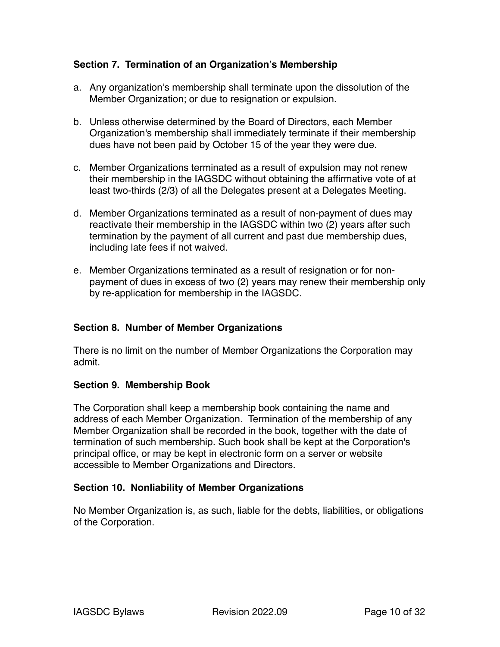#### <span id="page-9-0"></span>**Section 7. Termination of an Organization's Membership**

- a. Any organization's membership shall terminate upon the dissolution of the Member Organization; or due to resignation or expulsion.
- b. Unless otherwise determined by the Board of Directors, each Member Organization's membership shall immediately terminate if their membership dues have not been paid by October 15 of the year they were due.
- c. Member Organizations terminated as a result of expulsion may not renew their membership in the IAGSDC without obtaining the affirmative vote of at least two-thirds (2/3) of all the Delegates present at a Delegates Meeting.
- d. Member Organizations terminated as a result of non-payment of dues may reactivate their membership in the IAGSDC within two (2) years after such termination by the payment of all current and past due membership dues, including late fees if not waived.
- e. Member Organizations terminated as a result of resignation or for nonpayment of dues in excess of two (2) years may renew their membership only by re-application for membership in the IAGSDC.

#### <span id="page-9-1"></span>**Section 8. Number of Member Organizations**

There is no limit on the number of Member Organizations the Corporation may admit.

#### <span id="page-9-2"></span>**Section 9. Membership Book**

The Corporation shall keep a membership book containing the name and address of each Member Organization. Termination of the membership of any Member Organization shall be recorded in the book, together with the date of termination of such membership. Such book shall be kept at the Corporation's principal office, or may be kept in electronic form on a server or website accessible to Member Organizations and Directors.

#### <span id="page-9-3"></span>**Section 10. Nonliability of Member Organizations**

No Member Organization is, as such, liable for the debts, liabilities, or obligations of the Corporation.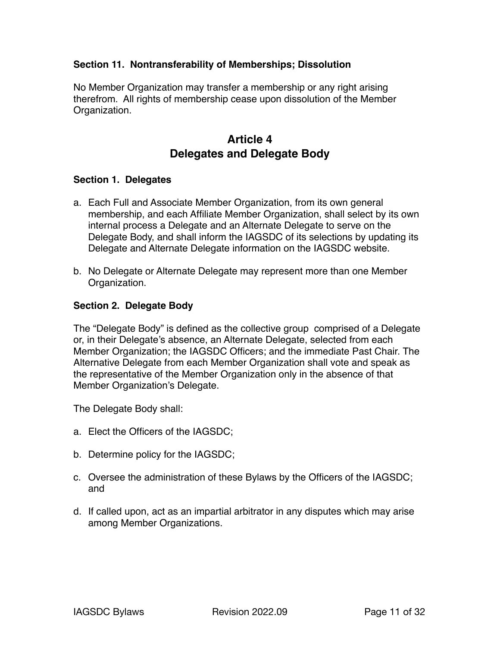#### <span id="page-10-0"></span>**Section 11. Nontransferability of Memberships; Dissolution**

No Member Organization may transfer a membership or any right arising therefrom. All rights of membership cease upon dissolution of the Member Organization.

### <span id="page-10-1"></span>**Article 4 Delegates and Delegate Body**

#### <span id="page-10-2"></span>**Section 1. Delegates**

- a. Each Full and Associate Member Organization, from its own general membership, and each Affiliate Member Organization, shall select by its own internal process a Delegate and an Alternate Delegate to serve on the Delegate Body, and shall inform the IAGSDC of its selections by updating its Delegate and Alternate Delegate information on the IAGSDC website.
- b. No Delegate or Alternate Delegate may represent more than one Member Organization.

#### <span id="page-10-3"></span>**Section 2. Delegate Body**

The "Delegate Body" is defined as the collective group comprised of a Delegate or, in their Delegate's absence, an Alternate Delegate, selected from each Member Organization; the IAGSDC Officers; and the immediate Past Chair. The Alternative Delegate from each Member Organization shall vote and speak as the representative of the Member Organization only in the absence of that Member Organization's Delegate.

The Delegate Body shall:

- a. Elect the Officers of the IAGSDC;
- b. Determine policy for the IAGSDC;
- c. Oversee the administration of these Bylaws by the Officers of the IAGSDC; and
- d. If called upon, act as an impartial arbitrator in any disputes which may arise among Member Organizations.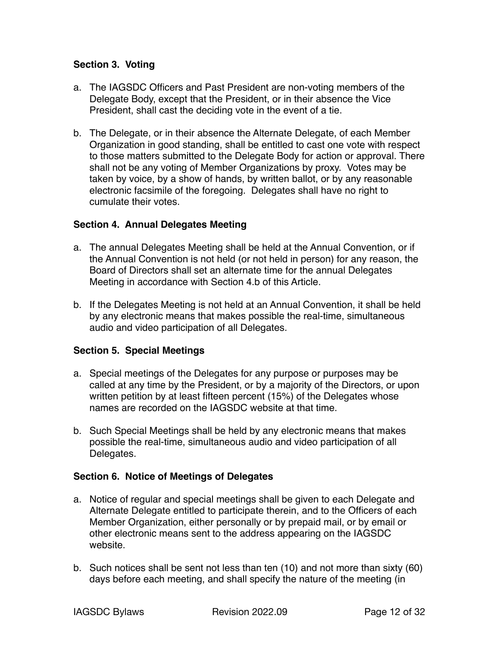#### <span id="page-11-0"></span>**Section 3. Voting**

- a. The IAGSDC Officers and Past President are non-voting members of the Delegate Body, except that the President, or in their absence the Vice President, shall cast the deciding vote in the event of a tie.
- b. The Delegate, or in their absence the Alternate Delegate, of each Member Organization in good standing, shall be entitled to cast one vote with respect to those matters submitted to the Delegate Body for action or approval. There shall not be any voting of Member Organizations by proxy. Votes may be taken by voice, by a show of hands, by written ballot, or by any reasonable electronic facsimile of the foregoing. Delegates shall have no right to cumulate their votes.

#### <span id="page-11-1"></span>**Section 4. Annual Delegates Meeting**

- a. The annual Delegates Meeting shall be held at the Annual Convention, or if the Annual Convention is not held (or not held in person) for any reason, the Board of Directors shall set an alternate time for the annual Delegates Meeting in accordance with Section 4.b of this Article.
- b. If the Delegates Meeting is not held at an Annual Convention, it shall be held by any electronic means that makes possible the real-time, simultaneous audio and video participation of all Delegates.

#### <span id="page-11-2"></span>**Section 5. Special Meetings**

- a. Special meetings of the Delegates for any purpose or purposes may be called at any time by the President, or by a majority of the Directors, or upon written petition by at least fifteen percent (15%) of the Delegates whose names are recorded on the IAGSDC website at that time.
- b. Such Special Meetings shall be held by any electronic means that makes possible the real-time, simultaneous audio and video participation of all Delegates.

#### <span id="page-11-3"></span>**Section 6. Notice of Meetings of Delegates**

- a. Notice of regular and special meetings shall be given to each Delegate and Alternate Delegate entitled to participate therein, and to the Officers of each Member Organization, either personally or by prepaid mail, or by email or other electronic means sent to the address appearing on the IAGSDC website.
- b. Such notices shall be sent not less than ten (10) and not more than sixty (60) days before each meeting, and shall specify the nature of the meeting (in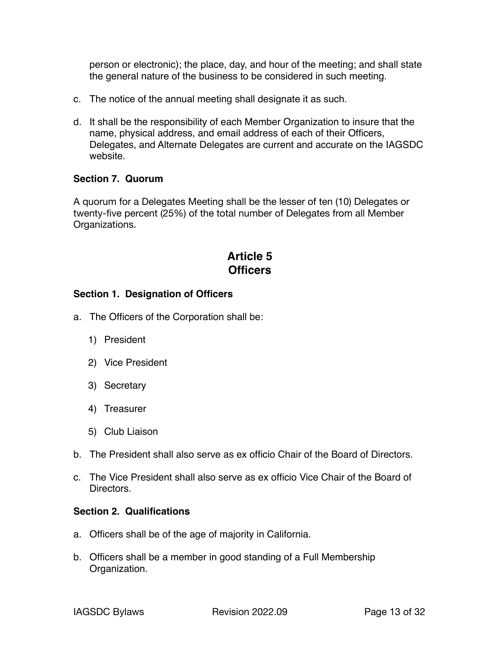person or electronic); the place, day, and hour of the meeting; and shall state the general nature of the business to be considered in such meeting.

- c. The notice of the annual meeting shall designate it as such.
- d. It shall be the responsibility of each Member Organization to insure that the name, physical address, and email address of each of their Officers, Delegates, and Alternate Delegates are current and accurate on the IAGSDC website.

#### <span id="page-12-0"></span>**Section 7. Quorum**

A quorum for a Delegates Meeting shall be the lesser of ten (10) Delegates or twenty-five percent (25%) of the total number of Delegates from all Member Organizations.

# <span id="page-12-1"></span>**Article 5 Officers**

#### <span id="page-12-2"></span>**Section 1. Designation of Officers**

- a. The Officers of the Corporation shall be:
	- 1) President
	- 2) Vice President
	- 3) Secretary
	- 4) Treasurer
	- 5) Club Liaison
- b. The President shall also serve as ex officio Chair of the Board of Directors.
- c. The Vice President shall also serve as ex officio Vice Chair of the Board of Directors.

#### <span id="page-12-3"></span>**Section 2. Qualifications**

- a. Officers shall be of the age of majority in California.
- b. Officers shall be a member in good standing of a Full Membership Organization.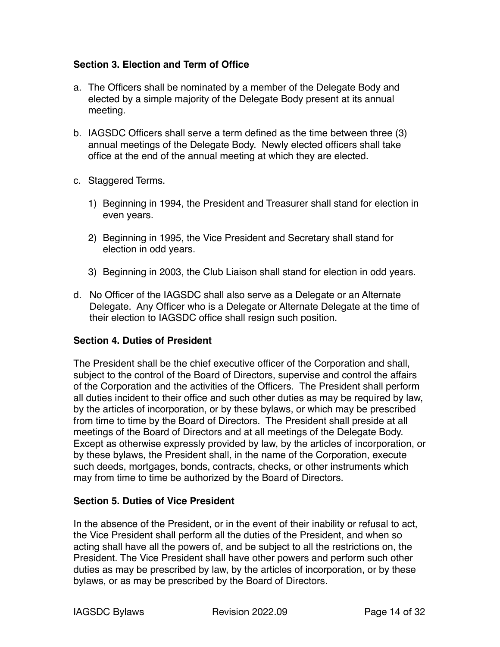#### <span id="page-13-0"></span>**Section 3. Election and Term of Office**

- a. The Officers shall be nominated by a member of the Delegate Body and elected by a simple majority of the Delegate Body present at its annual meeting.
- b. IAGSDC Officers shall serve a term defined as the time between three (3) annual meetings of the Delegate Body. Newly elected officers shall take office at the end of the annual meeting at which they are elected.
- c. Staggered Terms.
	- 1) Beginning in 1994, the President and Treasurer shall stand for election in even years.
	- 2) Beginning in 1995, the Vice President and Secretary shall stand for election in odd years.
	- 3) Beginning in 2003, the Club Liaison shall stand for election in odd years.
- d. No Officer of the IAGSDC shall also serve as a Delegate or an Alternate Delegate. Any Officer who is a Delegate or Alternate Delegate at the time of their election to IAGSDC office shall resign such position.

#### <span id="page-13-1"></span>**Section 4. Duties of President**

The President shall be the chief executive officer of the Corporation and shall, subject to the control of the Board of Directors, supervise and control the affairs of the Corporation and the activities of the Officers. The President shall perform all duties incident to their office and such other duties as may be required by law, by the articles of incorporation, or by these bylaws, or which may be prescribed from time to time by the Board of Directors. The President shall preside at all meetings of the Board of Directors and at all meetings of the Delegate Body. Except as otherwise expressly provided by law, by the articles of incorporation, or by these bylaws, the President shall, in the name of the Corporation, execute such deeds, mortgages, bonds, contracts, checks, or other instruments which may from time to time be authorized by the Board of Directors.

#### <span id="page-13-2"></span>**Section 5. Duties of Vice President**

In the absence of the President, or in the event of their inability or refusal to act, the Vice President shall perform all the duties of the President, and when so acting shall have all the powers of, and be subject to all the restrictions on, the President. The Vice President shall have other powers and perform such other duties as may be prescribed by law, by the articles of incorporation, or by these bylaws, or as may be prescribed by the Board of Directors.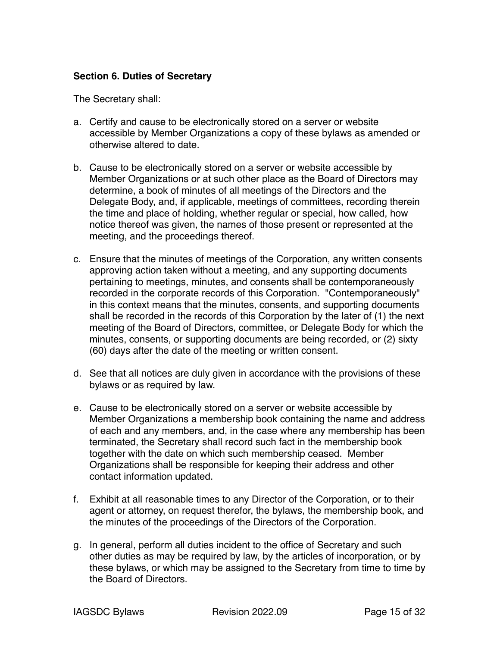#### <span id="page-14-0"></span>**Section 6. Duties of Secretary**

The Secretary shall:

- a. Certify and cause to be electronically stored on a server or website accessible by Member Organizations a copy of these bylaws as amended or otherwise altered to date.
- b. Cause to be electronically stored on a server or website accessible by Member Organizations or at such other place as the Board of Directors may determine, a book of minutes of all meetings of the Directors and the Delegate Body, and, if applicable, meetings of committees, recording therein the time and place of holding, whether regular or special, how called, how notice thereof was given, the names of those present or represented at the meeting, and the proceedings thereof.
- c. Ensure that the minutes of meetings of the Corporation, any written consents approving action taken without a meeting, and any supporting documents pertaining to meetings, minutes, and consents shall be contemporaneously recorded in the corporate records of this Corporation. "Contemporaneously" in this context means that the minutes, consents, and supporting documents shall be recorded in the records of this Corporation by the later of (1) the next meeting of the Board of Directors, committee, or Delegate Body for which the minutes, consents, or supporting documents are being recorded, or (2) sixty (60) days after the date of the meeting or written consent.
- d. See that all notices are duly given in accordance with the provisions of these bylaws or as required by law.
- e. Cause to be electronically stored on a server or website accessible by Member Organizations a membership book containing the name and address of each and any members, and, in the case where any membership has been terminated, the Secretary shall record such fact in the membership book together with the date on which such membership ceased. Member Organizations shall be responsible for keeping their address and other contact information updated.
- f. Exhibit at all reasonable times to any Director of the Corporation, or to their agent or attorney, on request therefor, the bylaws, the membership book, and the minutes of the proceedings of the Directors of the Corporation.
- g. In general, perform all duties incident to the office of Secretary and such other duties as may be required by law, by the articles of incorporation, or by these bylaws, or which may be assigned to the Secretary from time to time by the Board of Directors.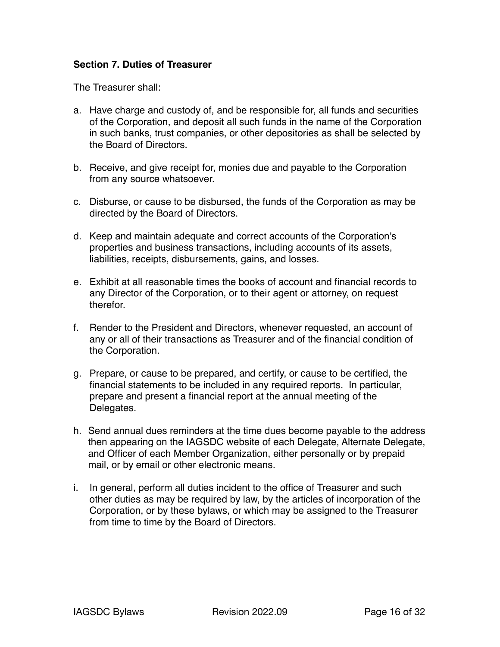#### <span id="page-15-0"></span>**Section 7. Duties of Treasurer**

The Treasurer shall:

- a. Have charge and custody of, and be responsible for, all funds and securities of the Corporation, and deposit all such funds in the name of the Corporation in such banks, trust companies, or other depositories as shall be selected by the Board of Directors.
- b. Receive, and give receipt for, monies due and payable to the Corporation from any source whatsoever.
- c. Disburse, or cause to be disbursed, the funds of the Corporation as may be directed by the Board of Directors.
- d. Keep and maintain adequate and correct accounts of the Corporation's properties and business transactions, including accounts of its assets, liabilities, receipts, disbursements, gains, and losses.
- e. Exhibit at all reasonable times the books of account and financial records to any Director of the Corporation, or to their agent or attorney, on request therefor.
- f. Render to the President and Directors, whenever requested, an account of any or all of their transactions as Treasurer and of the financial condition of the Corporation.
- g. Prepare, or cause to be prepared, and certify, or cause to be certified, the financial statements to be included in any required reports. In particular, prepare and present a financial report at the annual meeting of the Delegates.
- h. Send annual dues reminders at the time dues become payable to the address then appearing on the IAGSDC website of each Delegate, Alternate Delegate, and Officer of each Member Organization, either personally or by prepaid mail, or by email or other electronic means.
- i. In general, perform all duties incident to the office of Treasurer and such other duties as may be required by law, by the articles of incorporation of the Corporation, or by these bylaws, or which may be assigned to the Treasurer from time to time by the Board of Directors.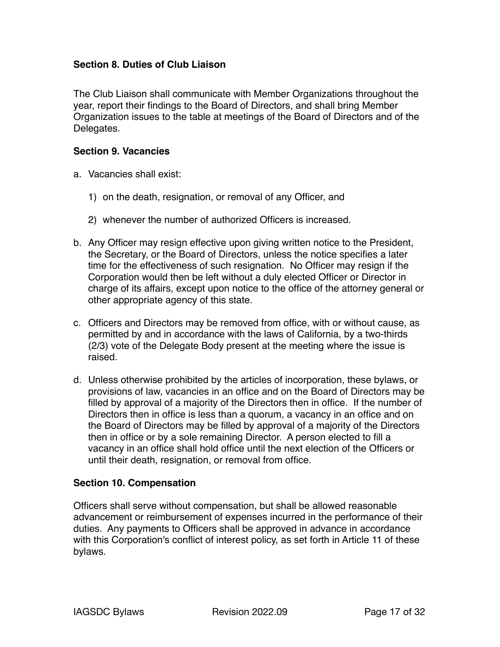#### <span id="page-16-0"></span>**Section 8. Duties of Club Liaison**

The Club Liaison shall communicate with Member Organizations throughout the year, report their findings to the Board of Directors, and shall bring Member Organization issues to the table at meetings of the Board of Directors and of the Delegates.

#### <span id="page-16-1"></span>**Section 9. Vacancies**

- a. Vacancies shall exist:
	- 1) on the death, resignation, or removal of any Officer, and
	- 2) whenever the number of authorized Officers is increased.
- b. Any Officer may resign effective upon giving written notice to the President, the Secretary, or the Board of Directors, unless the notice specifies a later time for the effectiveness of such resignation. No Officer may resign if the Corporation would then be left without a duly elected Officer or Director in charge of its affairs, except upon notice to the office of the attorney general or other appropriate agency of this state.
- c. Officers and Directors may be removed from office, with or without cause, as permitted by and in accordance with the laws of California, by a two-thirds (2/3) vote of the Delegate Body present at the meeting where the issue is raised.
- d. Unless otherwise prohibited by the articles of incorporation, these bylaws, or provisions of law, vacancies in an office and on the Board of Directors may be filled by approval of a majority of the Directors then in office. If the number of Directors then in office is less than a quorum, a vacancy in an office and on the Board of Directors may be filled by approval of a majority of the Directors then in office or by a sole remaining Director. A person elected to fill a vacancy in an office shall hold office until the next election of the Officers or until their death, resignation, or removal from office.

#### <span id="page-16-2"></span>**Section 10. Compensation**

Officers shall serve without compensation, but shall be allowed reasonable advancement or reimbursement of expenses incurred in the performance of their duties. Any payments to Officers shall be approved in advance in accordance with this Corporation's conflict of interest policy, as set forth in Article 11 of these bylaws.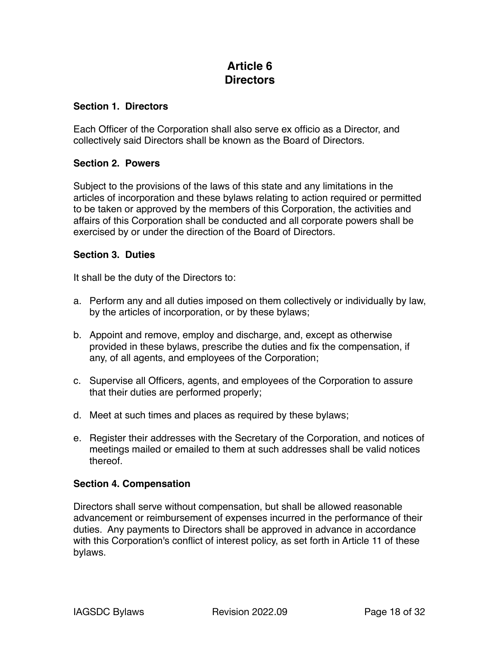# <span id="page-17-0"></span>**Article 6 Directors**

#### <span id="page-17-1"></span>**Section 1. Directors**

Each Officer of the Corporation shall also serve ex officio as a Director, and collectively said Directors shall be known as the Board of Directors.

#### <span id="page-17-2"></span>**Section 2. Powers**

Subject to the provisions of the laws of this state and any limitations in the articles of incorporation and these bylaws relating to action required or permitted to be taken or approved by the members of this Corporation, the activities and affairs of this Corporation shall be conducted and all corporate powers shall be exercised by or under the direction of the Board of Directors.

#### <span id="page-17-3"></span>**Section 3. Duties**

It shall be the duty of the Directors to:

- a. Perform any and all duties imposed on them collectively or individually by law, by the articles of incorporation, or by these bylaws;
- b. Appoint and remove, employ and discharge, and, except as otherwise provided in these bylaws, prescribe the duties and fix the compensation, if any, of all agents, and employees of the Corporation;
- c. Supervise all Officers, agents, and employees of the Corporation to assure that their duties are performed properly;
- d. Meet at such times and places as required by these bylaws;
- e. Register their addresses with the Secretary of the Corporation, and notices of meetings mailed or emailed to them at such addresses shall be valid notices thereof.

#### <span id="page-17-4"></span>**Section 4. Compensation**

Directors shall serve without compensation, but shall be allowed reasonable advancement or reimbursement of expenses incurred in the performance of their duties. Any payments to Directors shall be approved in advance in accordance with this Corporation's conflict of interest policy, as set forth in Article 11 of these bylaws.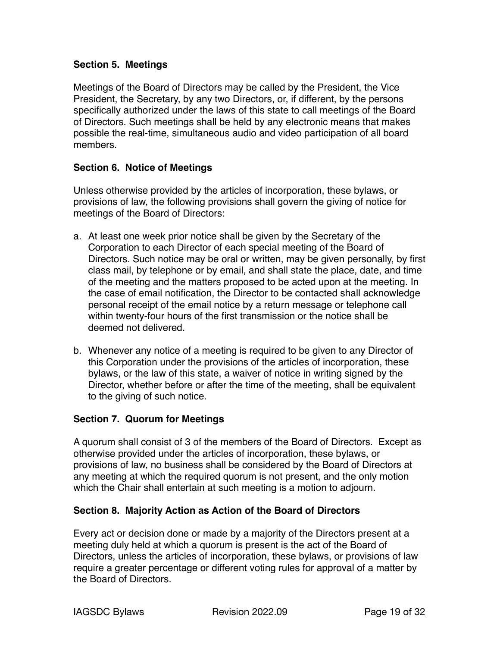#### <span id="page-18-0"></span>**Section 5. Meetings**

Meetings of the Board of Directors may be called by the President, the Vice President, the Secretary, by any two Directors, or, if different, by the persons specifically authorized under the laws of this state to call meetings of the Board of Directors. Such meetings shall be held by any electronic means that makes possible the real-time, simultaneous audio and video participation of all board members.

#### <span id="page-18-1"></span>**Section 6. Notice of Meetings**

Unless otherwise provided by the articles of incorporation, these bylaws, or provisions of law, the following provisions shall govern the giving of notice for meetings of the Board of Directors:

- a. At least one week prior notice shall be given by the Secretary of the Corporation to each Director of each special meeting of the Board of Directors. Such notice may be oral or written, may be given personally, by first class mail, by telephone or by email, and shall state the place, date, and time of the meeting and the matters proposed to be acted upon at the meeting. In the case of email notification, the Director to be contacted shall acknowledge personal receipt of the email notice by a return message or telephone call within twenty-four hours of the first transmission or the notice shall be deemed not delivered.
- b. Whenever any notice of a meeting is required to be given to any Director of this Corporation under the provisions of the articles of incorporation, these bylaws, or the law of this state, a waiver of notice in writing signed by the Director, whether before or after the time of the meeting, shall be equivalent to the giving of such notice.

#### <span id="page-18-2"></span>**Section 7. Quorum for Meetings**

A quorum shall consist of 3 of the members of the Board of Directors. Except as otherwise provided under the articles of incorporation, these bylaws, or provisions of law, no business shall be considered by the Board of Directors at any meeting at which the required quorum is not present, and the only motion which the Chair shall entertain at such meeting is a motion to adjourn.

#### <span id="page-18-3"></span>**Section 8. Majority Action as Action of the Board of Directors**

Every act or decision done or made by a majority of the Directors present at a meeting duly held at which a quorum is present is the act of the Board of Directors, unless the articles of incorporation, these bylaws, or provisions of law require a greater percentage or different voting rules for approval of a matter by the Board of Directors.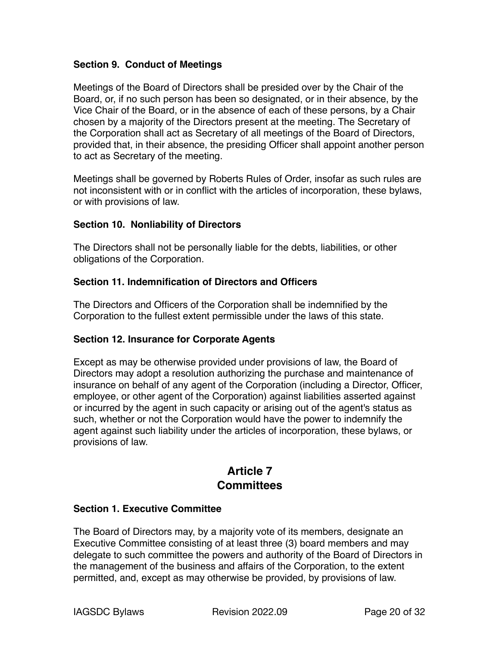#### <span id="page-19-0"></span>**Section 9. Conduct of Meetings**

Meetings of the Board of Directors shall be presided over by the Chair of the Board, or, if no such person has been so designated, or in their absence, by the Vice Chair of the Board, or in the absence of each of these persons, by a Chair chosen by a majority of the Directors present at the meeting. The Secretary of the Corporation shall act as Secretary of all meetings of the Board of Directors, provided that, in their absence, the presiding Officer shall appoint another person to act as Secretary of the meeting.

Meetings shall be governed by Roberts Rules of Order, insofar as such rules are not inconsistent with or in conflict with the articles of incorporation, these bylaws, or with provisions of law.

#### <span id="page-19-1"></span>**Section 10. Nonliability of Directors**

The Directors shall not be personally liable for the debts, liabilities, or other obligations of the Corporation.

#### <span id="page-19-2"></span>**Section 11. Indemnification of Directors and Officers**

The Directors and Officers of the Corporation shall be indemnified by the Corporation to the fullest extent permissible under the laws of this state.

#### <span id="page-19-3"></span>**Section 12. Insurance for Corporate Agents**

Except as may be otherwise provided under provisions of law, the Board of Directors may adopt a resolution authorizing the purchase and maintenance of insurance on behalf of any agent of the Corporation (including a Director, Officer, employee, or other agent of the Corporation) against liabilities asserted against or incurred by the agent in such capacity or arising out of the agent's status as such, whether or not the Corporation would have the power to indemnify the agent against such liability under the articles of incorporation, these bylaws, or provisions of law.

### <span id="page-19-4"></span>**Article 7 Committees**

#### <span id="page-19-5"></span>**Section 1. Executive Committee**

The Board of Directors may, by a majority vote of its members, designate an Executive Committee consisting of at least three (3) board members and may delegate to such committee the powers and authority of the Board of Directors in the management of the business and affairs of the Corporation, to the extent permitted, and, except as may otherwise be provided, by provisions of law.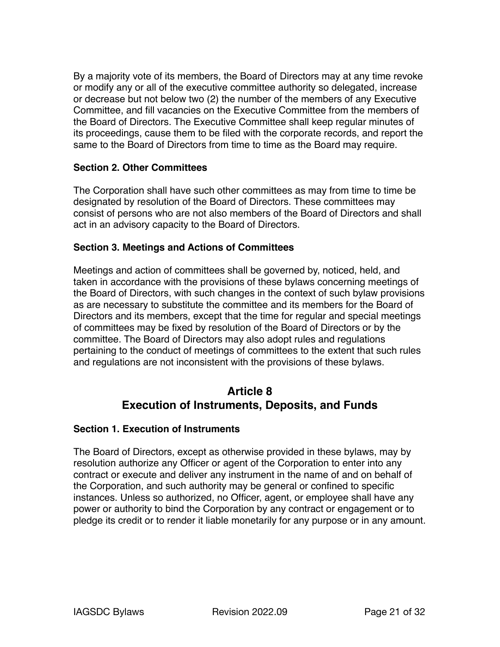By a majority vote of its members, the Board of Directors may at any time revoke or modify any or all of the executive committee authority so delegated, increase or decrease but not below two (2) the number of the members of any Executive Committee, and fill vacancies on the Executive Committee from the members of the Board of Directors. The Executive Committee shall keep regular minutes of its proceedings, cause them to be filed with the corporate records, and report the same to the Board of Directors from time to time as the Board may require.

#### <span id="page-20-0"></span>**Section 2. Other Committees**

The Corporation shall have such other committees as may from time to time be designated by resolution of the Board of Directors. These committees may consist of persons who are not also members of the Board of Directors and shall act in an advisory capacity to the Board of Directors.

#### <span id="page-20-1"></span>**Section 3. Meetings and Actions of Committees**

Meetings and action of committees shall be governed by, noticed, held, and taken in accordance with the provisions of these bylaws concerning meetings of the Board of Directors, with such changes in the context of such bylaw provisions as are necessary to substitute the committee and its members for the Board of Directors and its members, except that the time for regular and special meetings of committees may be fixed by resolution of the Board of Directors or by the committee. The Board of Directors may also adopt rules and regulations pertaining to the conduct of meetings of committees to the extent that such rules and regulations are not inconsistent with the provisions of these bylaws.

# <span id="page-20-2"></span>**Article 8 Execution of Instruments, Deposits, and Funds**

#### <span id="page-20-3"></span>**Section 1. Execution of Instruments**

The Board of Directors, except as otherwise provided in these bylaws, may by resolution authorize any Officer or agent of the Corporation to enter into any contract or execute and deliver any instrument in the name of and on behalf of the Corporation, and such authority may be general or confined to specific instances. Unless so authorized, no Officer, agent, or employee shall have any power or authority to bind the Corporation by any contract or engagement or to pledge its credit or to render it liable monetarily for any purpose or in any amount.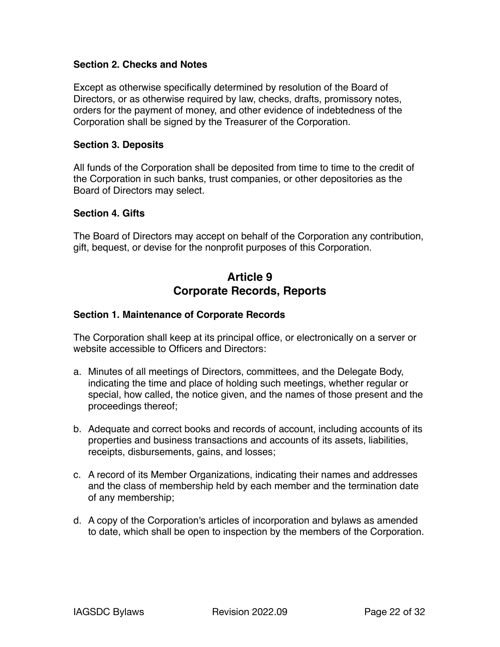#### <span id="page-21-0"></span>**Section 2. Checks and Notes**

Except as otherwise specifically determined by resolution of the Board of Directors, or as otherwise required by law, checks, drafts, promissory notes, orders for the payment of money, and other evidence of indebtedness of the Corporation shall be signed by the Treasurer of the Corporation.

#### <span id="page-21-1"></span>**Section 3. Deposits**

All funds of the Corporation shall be deposited from time to time to the credit of the Corporation in such banks, trust companies, or other depositories as the Board of Directors may select.

#### <span id="page-21-2"></span>**Section 4. Gifts**

The Board of Directors may accept on behalf of the Corporation any contribution, gift, bequest, or devise for the nonprofit purposes of this Corporation.

## <span id="page-21-3"></span>**Article 9 Corporate Records, Reports**

#### <span id="page-21-4"></span>**Section 1. Maintenance of Corporate Records**

The Corporation shall keep at its principal office, or electronically on a server or website accessible to Officers and Directors:

- a. Minutes of all meetings of Directors, committees, and the Delegate Body, indicating the time and place of holding such meetings, whether regular or special, how called, the notice given, and the names of those present and the proceedings thereof;
- b. Adequate and correct books and records of account, including accounts of its properties and business transactions and accounts of its assets, liabilities, receipts, disbursements, gains, and losses;
- c. A record of its Member Organizations, indicating their names and addresses and the class of membership held by each member and the termination date of any membership;
- d. A copy of the Corporation's articles of incorporation and bylaws as amended to date, which shall be open to inspection by the members of the Corporation.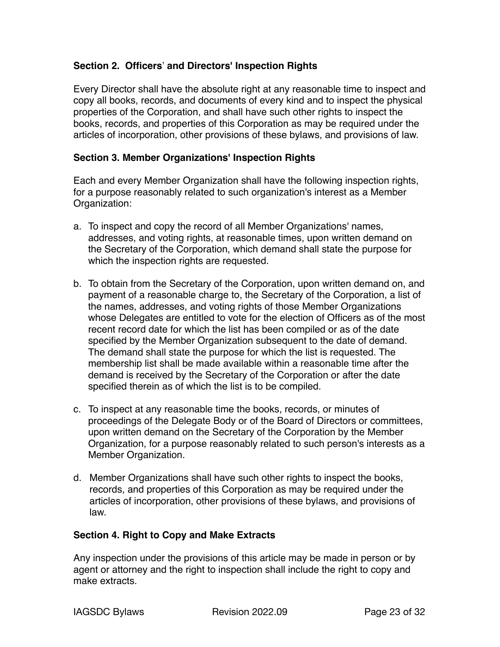#### <span id="page-22-0"></span>**Section 2. Officers' and Directors' Inspection Rights**

Every Director shall have the absolute right at any reasonable time to inspect and copy all books, records, and documents of every kind and to inspect the physical properties of the Corporation, and shall have such other rights to inspect the books, records, and properties of this Corporation as may be required under the articles of incorporation, other provisions of these bylaws, and provisions of law.

#### <span id="page-22-1"></span>**Section 3. Member Organizations' Inspection Rights**

Each and every Member Organization shall have the following inspection rights, for a purpose reasonably related to such organization's interest as a Member Organization:

- a. To inspect and copy the record of all Member Organizations' names, addresses, and voting rights, at reasonable times, upon written demand on the Secretary of the Corporation, which demand shall state the purpose for which the inspection rights are requested.
- b. To obtain from the Secretary of the Corporation, upon written demand on, and payment of a reasonable charge to, the Secretary of the Corporation, a list of the names, addresses, and voting rights of those Member Organizations whose Delegates are entitled to vote for the election of Officers as of the most recent record date for which the list has been compiled or as of the date specified by the Member Organization subsequent to the date of demand. The demand shall state the purpose for which the list is requested. The membership list shall be made available within a reasonable time after the demand is received by the Secretary of the Corporation or after the date specified therein as of which the list is to be compiled.
- c. To inspect at any reasonable time the books, records, or minutes of proceedings of the Delegate Body or of the Board of Directors or committees, upon written demand on the Secretary of the Corporation by the Member Organization, for a purpose reasonably related to such person's interests as a Member Organization.
- d. Member Organizations shall have such other rights to inspect the books, records, and properties of this Corporation as may be required under the articles of incorporation, other provisions of these bylaws, and provisions of law.

#### <span id="page-22-2"></span>**Section 4. Right to Copy and Make Extracts**

Any inspection under the provisions of this article may be made in person or by agent or attorney and the right to inspection shall include the right to copy and make extracts.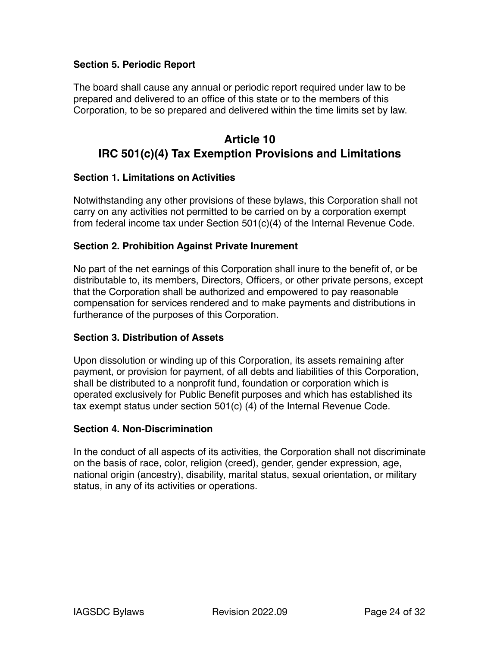#### **Section 5. Periodic Report**

The board shall cause any annual or periodic report required under law to be prepared and delivered to an office of this state or to the members of this Corporation, to be so prepared and delivered within the time limits set by law.

# <span id="page-23-0"></span>**Article 10 IRC 501(c)(4) Tax Exemption Provisions and Limitations**

#### <span id="page-23-1"></span>**Section 1. Limitations on Activities**

Notwithstanding any other provisions of these bylaws, this Corporation shall not carry on any activities not permitted to be carried on by a corporation exempt from federal income tax under Section 501(c)(4) of the Internal Revenue Code.

#### <span id="page-23-2"></span>**Section 2. Prohibition Against Private Inurement**

No part of the net earnings of this Corporation shall inure to the benefit of, or be distributable to, its members, Directors, Officers, or other private persons, except that the Corporation shall be authorized and empowered to pay reasonable compensation for services rendered and to make payments and distributions in furtherance of the purposes of this Corporation.

#### <span id="page-23-3"></span>**Section 3. Distribution of Assets**

Upon dissolution or winding up of this Corporation, its assets remaining after payment, or provision for payment, of all debts and liabilities of this Corporation, shall be distributed to a nonprofit fund, foundation or corporation which is operated exclusively for Public Benefit purposes and which has established its tax exempt status under section 501(c) (4) of the Internal Revenue Code.

#### <span id="page-23-4"></span>**Section 4. Non-Discrimination**

In the conduct of all aspects of its activities, the Corporation shall not discriminate on the basis of race, color, religion (creed), gender, gender expression, age, national origin (ancestry), disability, marital status, sexual orientation, or military status, in any of its activities or operations.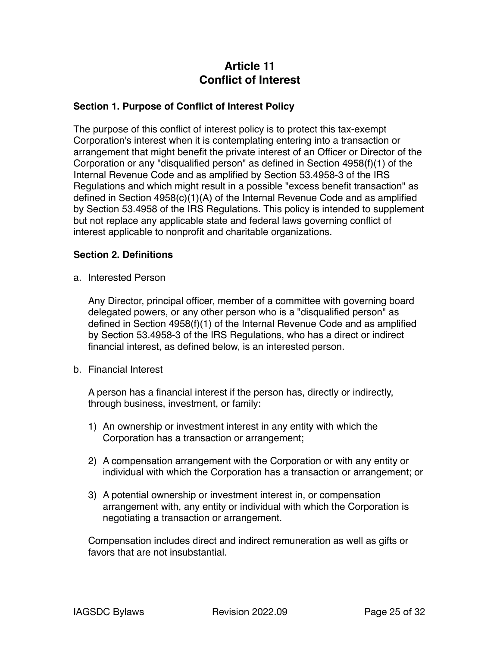# <span id="page-24-0"></span>**Article 11 Conflict of Interest**

#### <span id="page-24-1"></span>**Section 1. Purpose of Conflict of Interest Policy**

The purpose of this conflict of interest policy is to protect this tax-exempt Corporation's interest when it is contemplating entering into a transaction or arrangement that might benefit the private interest of an Officer or Director of the Corporation or any "disqualified person" as defined in Section 4958(f)(1) of the Internal Revenue Code and as amplified by Section 53.4958-3 of the IRS Regulations and which might result in a possible "excess benefit transaction" as defined in Section 4958(c)(1)(A) of the Internal Revenue Code and as amplified by Section 53.4958 of the IRS Regulations. This policy is intended to supplement but not replace any applicable state and federal laws governing conflict of interest applicable to nonprofit and charitable organizations.

#### <span id="page-24-2"></span>**Section 2. Definitions**

a. Interested Person

Any Director, principal officer, member of a committee with governing board delegated powers, or any other person who is a "disqualified person" as defined in Section 4958(f)(1) of the Internal Revenue Code and as amplified by Section 53.4958-3 of the IRS Regulations, who has a direct or indirect financial interest, as defined below, is an interested person.

b. Financial Interest

A person has a financial interest if the person has, directly or indirectly, through business, investment, or family:

- 1) An ownership or investment interest in any entity with which the Corporation has a transaction or arrangement;
- 2) A compensation arrangement with the Corporation or with any entity or individual with which the Corporation has a transaction or arrangement; or
- 3) A potential ownership or investment interest in, or compensation arrangement with, any entity or individual with which the Corporation is negotiating a transaction or arrangement.

Compensation includes direct and indirect remuneration as well as gifts or favors that are not insubstantial.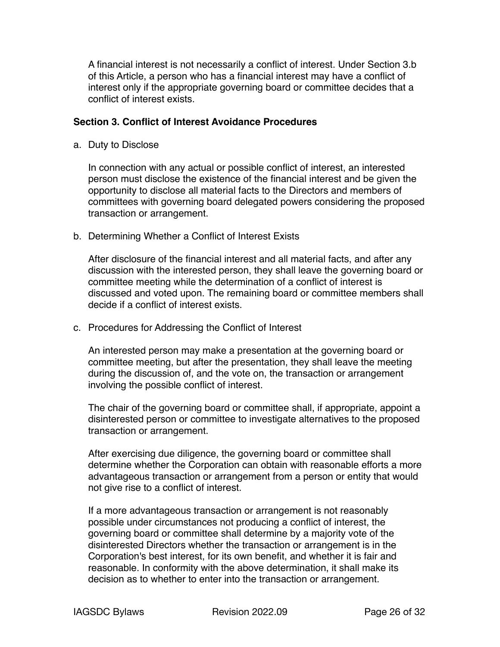A financial interest is not necessarily a conflict of interest. Under Section 3.b of this Article, a person who has a financial interest may have a conflict of interest only if the appropriate governing board or committee decides that a conflict of interest exists.

#### <span id="page-25-0"></span>**Section 3. Conflict of Interest Avoidance Procedures**

a. Duty to Disclose

In connection with any actual or possible conflict of interest, an interested person must disclose the existence of the financial interest and be given the opportunity to disclose all material facts to the Directors and members of committees with governing board delegated powers considering the proposed transaction or arrangement.

b. Determining Whether a Conflict of Interest Exists

After disclosure of the financial interest and all material facts, and after any discussion with the interested person, they shall leave the governing board or committee meeting while the determination of a conflict of interest is discussed and voted upon. The remaining board or committee members shall decide if a conflict of interest exists.

c. Procedures for Addressing the Conflict of Interest

An interested person may make a presentation at the governing board or committee meeting, but after the presentation, they shall leave the meeting during the discussion of, and the vote on, the transaction or arrangement involving the possible conflict of interest.

The chair of the governing board or committee shall, if appropriate, appoint a disinterested person or committee to investigate alternatives to the proposed transaction or arrangement.

After exercising due diligence, the governing board or committee shall determine whether the Corporation can obtain with reasonable efforts a more advantageous transaction or arrangement from a person or entity that would not give rise to a conflict of interest.

If a more advantageous transaction or arrangement is not reasonably possible under circumstances not producing a conflict of interest, the governing board or committee shall determine by a majority vote of the disinterested Directors whether the transaction or arrangement is in the Corporation's best interest, for its own benefit, and whether it is fair and reasonable. In conformity with the above determination, it shall make its decision as to whether to enter into the transaction or arrangement.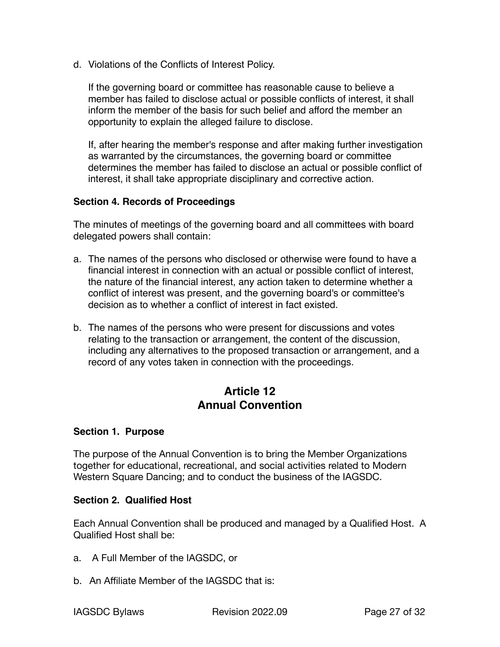d. Violations of the Conflicts of Interest Policy.

If the governing board or committee has reasonable cause to believe a member has failed to disclose actual or possible conflicts of interest, it shall inform the member of the basis for such belief and afford the member an opportunity to explain the alleged failure to disclose.

If, after hearing the member's response and after making further investigation as warranted by the circumstances, the governing board or committee determines the member has failed to disclose an actual or possible conflict of interest, it shall take appropriate disciplinary and corrective action.

#### <span id="page-26-0"></span>**Section 4. Records of Proceedings**

The minutes of meetings of the governing board and all committees with board delegated powers shall contain:

- a. The names of the persons who disclosed or otherwise were found to have a financial interest in connection with an actual or possible conflict of interest, the nature of the financial interest, any action taken to determine whether a conflict of interest was present, and the governing board's or committee's decision as to whether a conflict of interest in fact existed.
- b. The names of the persons who were present for discussions and votes relating to the transaction or arrangement, the content of the discussion, including any alternatives to the proposed transaction or arrangement, and a record of any votes taken in connection with the proceedings.

## <span id="page-26-1"></span>**Article 12 Annual Convention**

#### <span id="page-26-2"></span>**Section 1. Purpose**

The purpose of the Annual Convention is to bring the Member Organizations together for educational, recreational, and social activities related to Modern Western Square Dancing; and to conduct the business of the IAGSDC.

#### <span id="page-26-3"></span>**Section 2. Qualified Host**

Each Annual Convention shall be produced and managed by a Qualified Host. A Qualified Host shall be:

- a. A Full Member of the IAGSDC, or
- b. An Affiliate Member of the IAGSDC that is: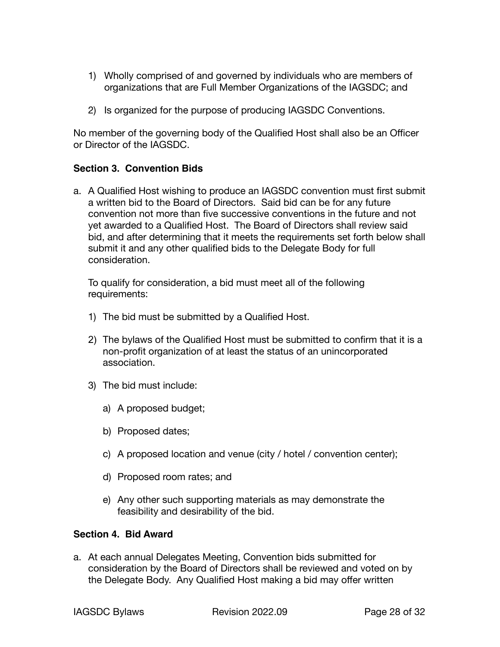- 1) Wholly comprised of and governed by individuals who are members of organizations that are Full Member Organizations of the IAGSDC; and
- 2) Is organized for the purpose of producing IAGSDC Conventions.

No member of the governing body of the Qualified Host shall also be an Officer or Director of the IAGSDC.

#### <span id="page-27-0"></span>**Section 3. Convention Bids**

a. A Qualified Host wishing to produce an IAGSDC convention must first submit a written bid to the Board of Directors. Said bid can be for any future convention not more than five successive conventions in the future and not yet awarded to a Qualified Host. The Board of Directors shall review said bid, and after determining that it meets the requirements set forth below shall submit it and any other qualified bids to the Delegate Body for full consideration.

To qualify for consideration, a bid must meet all of the following requirements:

- 1) The bid must be submitted by a Qualified Host.
- 2) The bylaws of the Qualified Host must be submitted to confirm that it is a non-profit organization of at least the status of an unincorporated association.
- 3) The bid must include:
	- a) A proposed budget;
	- b) Proposed dates;
	- c) A proposed location and venue (city / hotel / convention center);
	- d) Proposed room rates; and
	- e) Any other such supporting materials as may demonstrate the feasibility and desirability of the bid.

#### <span id="page-27-1"></span>**Section 4. Bid Award**

a. At each annual Delegates Meeting, Convention bids submitted for consideration by the Board of Directors shall be reviewed and voted on by the Delegate Body. Any Qualified Host making a bid may offer written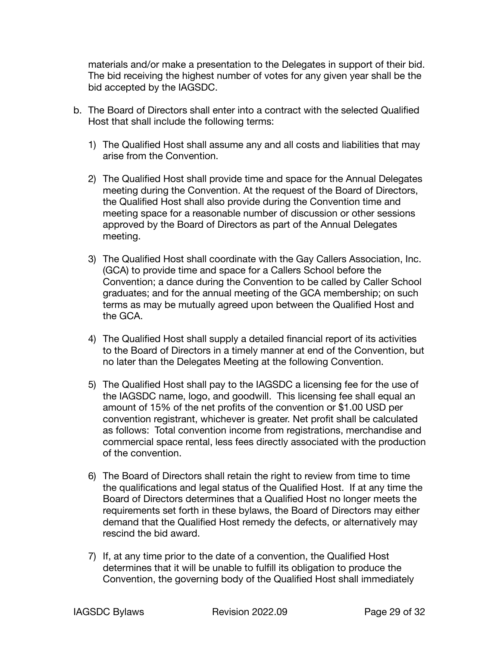materials and/or make a presentation to the Delegates in support of their bid. The bid receiving the highest number of votes for any given year shall be the bid accepted by the IAGSDC.

- b. The Board of Directors shall enter into a contract with the selected Qualified Host that shall include the following terms:
	- 1) The Qualified Host shall assume any and all costs and liabilities that may arise from the Convention.
	- 2) The Qualified Host shall provide time and space for the Annual Delegates meeting during the Convention. At the request of the Board of Directors, the Qualified Host shall also provide during the Convention time and meeting space for a reasonable number of discussion or other sessions approved by the Board of Directors as part of the Annual Delegates meeting.
	- 3) The Qualified Host shall coordinate with the Gay Callers Association, Inc. (GCA) to provide time and space for a Callers School before the Convention; a dance during the Convention to be called by Caller School graduates; and for the annual meeting of the GCA membership; on such terms as may be mutually agreed upon between the Qualified Host and the GCA.
	- 4) The Qualified Host shall supply a detailed financial report of its activities to the Board of Directors in a timely manner at end of the Convention, but no later than the Delegates Meeting at the following Convention.
	- 5) The Qualified Host shall pay to the IAGSDC a licensing fee for the use of the IAGSDC name, logo, and goodwill. This licensing fee shall equal an amount of 15% of the net profits of the convention or \$1.00 USD per convention registrant, whichever is greater. Net profit shall be calculated as follows: Total convention income from registrations, merchandise and commercial space rental, less fees directly associated with the production of the convention.
	- 6) The Board of Directors shall retain the right to review from time to time the qualifications and legal status of the Qualified Host. If at any time the Board of Directors determines that a Qualified Host no longer meets the requirements set forth in these bylaws, the Board of Directors may either demand that the Qualified Host remedy the defects, or alternatively may rescind the bid award.
	- 7) If, at any time prior to the date of a convention, the Qualified Host determines that it will be unable to fulfill its obligation to produce the Convention, the governing body of the Qualified Host shall immediately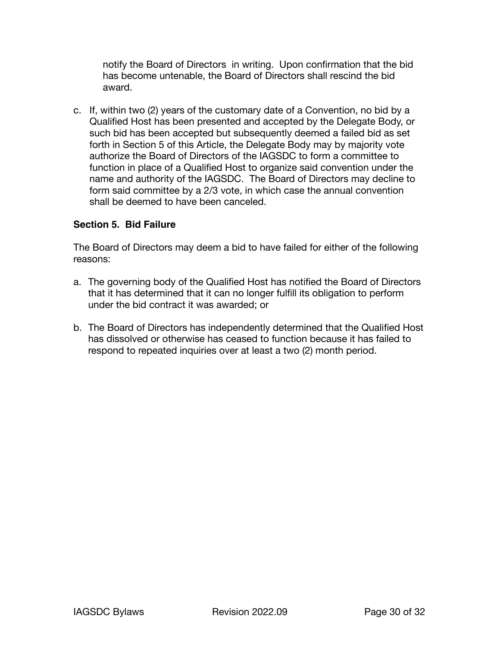notify the Board of Directors in writing. Upon confirmation that the bid has become untenable, the Board of Directors shall rescind the bid award.

c. If, within two (2) years of the customary date of a Convention, no bid by a Qualified Host has been presented and accepted by the Delegate Body, or such bid has been accepted but subsequently deemed a failed bid as set forth in Section 5 of this Article, the Delegate Body may by majority vote authorize the Board of Directors of the IAGSDC to form a committee to function in place of a Qualified Host to organize said convention under the name and authority of the IAGSDC. The Board of Directors may decline to form said committee by a 2/3 vote, in which case the annual convention shall be deemed to have been canceled.

#### <span id="page-29-0"></span>**Section 5. Bid Failure**

The Board of Directors may deem a bid to have failed for either of the following reasons:

- a. The governing body of the Qualified Host has notified the Board of Directors that it has determined that it can no longer fulfill its obligation to perform under the bid contract it was awarded; or
- b. The Board of Directors has independently determined that the Qualified Host has dissolved or otherwise has ceased to function because it has failed to respond to repeated inquiries over at least a two (2) month period.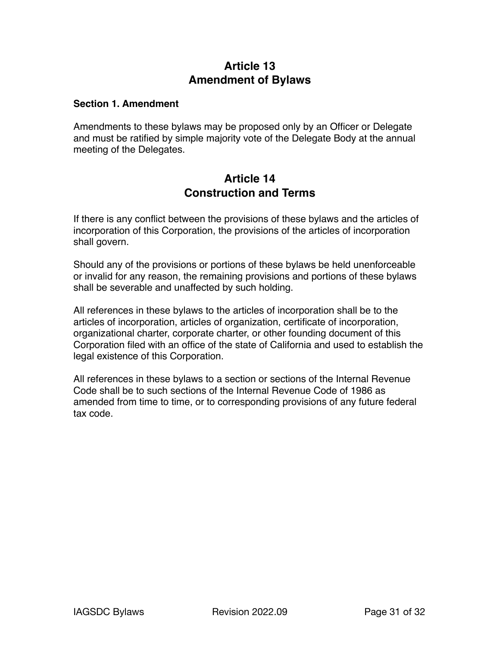# <span id="page-30-0"></span>**Article 13 Amendment of Bylaws**

#### <span id="page-30-1"></span>**Section 1. Amendment**

Amendments to these bylaws may be proposed only by an Officer or Delegate and must be ratified by simple majority vote of the Delegate Body at the annual meeting of the Delegates.

## <span id="page-30-2"></span>**Article 14 Construction and Terms**

If there is any conflict between the provisions of these bylaws and the articles of incorporation of this Corporation, the provisions of the articles of incorporation shall govern.

Should any of the provisions or portions of these bylaws be held unenforceable or invalid for any reason, the remaining provisions and portions of these bylaws shall be severable and unaffected by such holding.

All references in these bylaws to the articles of incorporation shall be to the articles of incorporation, articles of organization, certificate of incorporation, organizational charter, corporate charter, or other founding document of this Corporation filed with an office of the state of California and used to establish the legal existence of this Corporation.

All references in these bylaws to a section or sections of the Internal Revenue Code shall be to such sections of the Internal Revenue Code of 1986 as amended from time to time, or to corresponding provisions of any future federal tax code.